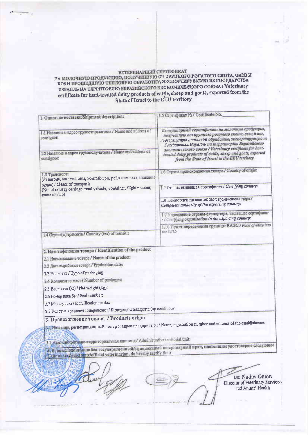## ВЕТЕРИНАРНЫЙ СЕРТНФИКАТ<br>НА МОЛОЧНУЮ ПРОДУКЦИЮ, ПОЛУЧЕННУЮ ОТ КРУПНОГО РОГАТОГО СКОТА, ОВЕЦ И<br>КОЗ И ПРОШЕДШУЮ ТЕПЛОВУЮ ОБРАБОТКУ, ЭКСПОРТИРУЕМУЮ ИЗ ГОСУДАРСТВА<br>ИЗРАИЛЬ НА ТЕРРИТОРИЮ ЕВРАЗИЙСКОГО ЭКОНОМИЧЕСКОГО СОЮЗА / Vete

| 1.5 Сертификат №1 Certificate No.                                                                                                                                                                                                                                               |
|---------------------------------------------------------------------------------------------------------------------------------------------------------------------------------------------------------------------------------------------------------------------------------|
| Ветеринарный сертификат на молочную продукцию,<br>полученную от крупного рогатого ската, овец и кез,                                                                                                                                                                            |
| нодвергнутую тепловой обработке, экспортируемую из<br>Государства Израиль на территорию Евразийского<br>экономического союза / Veterlnary certificate for heat-<br>treated dairy products of cattle, sheep and goats, exported<br>from the State of Israel to the EEU territory |
|                                                                                                                                                                                                                                                                                 |
| 1.7 Страна выдавшая сертификат / Certifying country:                                                                                                                                                                                                                            |
| 1.8 Компетентное ведомство страны-экспортера/<br>Competent authority of the exporting country:                                                                                                                                                                                  |
| 1.9 Учреждение страны-экспортера, выдавшие сертификат<br>: / Cariffying organization in the exporting country:                                                                                                                                                                  |
| 1.10 Пункт пересечения границы ВАЭС / Point of entry into<br>the EELL                                                                                                                                                                                                           |
|                                                                                                                                                                                                                                                                                 |
|                                                                                                                                                                                                                                                                                 |
|                                                                                                                                                                                                                                                                                 |
|                                                                                                                                                                                                                                                                                 |
|                                                                                                                                                                                                                                                                                 |
|                                                                                                                                                                                                                                                                                 |
|                                                                                                                                                                                                                                                                                 |
|                                                                                                                                                                                                                                                                                 |
|                                                                                                                                                                                                                                                                                 |
|                                                                                                                                                                                                                                                                                 |
| 2.8 Условия хранения и перевозки / Storage and transportation conditions;                                                                                                                                                                                                       |
| 3.1 Hampus, регистрационный номер и адрес предприятия: / Name, registration number and address of the establishment:                                                                                                                                                            |
| 3.2 Aughineconcume-repparropannana enmana:/ Administrative territorial unit:                                                                                                                                                                                                    |
| 4. Я, инжененные рашинся государственный/официальный ветеринарный прач, настоящим удостоверно следующее<br>7. The understand state/official veterinarian, do hereby certify that:                                                                                               |
| Dr. Nadav Galon                                                                                                                                                                                                                                                                 |
| Director of Veterinary Services<br>ind Animal Health                                                                                                                                                                                                                            |
|                                                                                                                                                                                                                                                                                 |
|                                                                                                                                                                                                                                                                                 |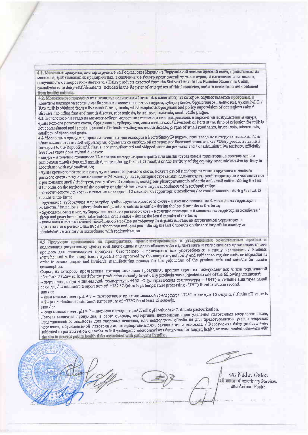4.1. Молочные продукты, экспортируемые из Государства Израиль в Евразийский экономический союз, произведени на молокоперерабатывающих предприятиях, включенных в Ресстр предприятий третьих стран, и изготовлены из молока, полученного от здоровых животных. / Dairy products exported from the State of Israel in the Eurasian Economic Union, manufactured in dairy establishments included in the Register of enterprises of third countries, and are made from milk obtained from healthy animals.

4.2. Монокосырье получено от поголовья сельскохозяйственных животных, на котором осуществляется программа и политния надзора за заразными болезнями животных, в т.ч. ящуром, туберкулезом, бруцеплезом, лейкозом, чумой МРС. / Raw milk is obtained from a livestock farm animals, which implement programs and policy supervision of contagious animal diseases, including foot and mouth disease, tuberculosis, brucellosis, leukemia, small cattle plague.

4.3. Поголовье или стадо на момент отбора молока не заражено и не подозревалось в заражении возбудителями ящура, чумы мелкого рогатого скота, бруцеллеза, туберкулеза, оспы овец и коз. / Livestock or herd at the time of selection for milk is not contaminated and is not suspected of infection pathogens mouth disease, plague of small ruminants, brucellosis, tuberculosis, smallpox of sheep and goats.

4.4. Молочные продукты, предназначенные для экспорта в Республику Беларусь, произведены и отгружены из хозяйств и/или административной территории, официально свободной от заразных болезней животных; / "Dairy products intended for export to the Republic of Belarus, are manufactured and shipped from the premises and / or administrative territory, officially free from contagious animal diseases:

- ящура - в течение последних 12 месяцев на территории страны или административной территории в соответствии с регнонализацией / foot and mouth disease - during the last 12 months on the territory of the country or administrative territory in accordance with regionalization;

- чумы крупного рогатого скота, чумы медкого рогатого скота, контагнозной плевропиевмонии крупного и медкого рогатого скота - в течение последних 24 месяцев на территории страны или административной территории в соответствии c регионализацией / rinderpest, peste of small ruminants, contagious pleuropneumonio of cattle and small cattle - during the last 24 months on the territory of the country or administrative territory in accordance with regionalization;

- энзоотического лейкоза - в течение последних 12 месяцев на территории хозяйства / enzootic leucosis - during the last 12 months at the farm;

- бруцеллеза, туберкулеза и паратуберкулёза крупного рогатого окота - в течение последних б месяцев на территории хозяйства / brucellosis, tuberculosis and paratuberculosis in eattle - during the last 6 months at the farm;

- бруцеллсза опец и коз, туберкулеза мелкого рогатого скота - в точение последних 6 месяцев на территории хоздиства / sheep and goats broedlosis, tuberculosis, small cattle - during the last 6 months at the farm;

- controlled it kos - в течение последних 6 месяцев на территории страны мих административной территории в administrative territory in accordance with regionalization.

4.5 Продукция произведена на предприятиях, проинспектированных и утвержденных компетентным органом и подлежащих регулярному аудиту или впслекциям с целью обеспечения надлежащего и гигиеничного производственного процесса для производства продукта, безопасного и пригодного для употребления в пищу человеком. / Products manufactured at the enterprises, inspected and approved by the competent authority and subject to regular audit or inspection in order to ensure proper and hygienic manufacturing process for the preduction of the product safe and suitable for human consumption.

Сырье, из которого произведена готовая молочная продукция, прошло один из инжеуказанных видов термической obpaborKH' / Raw milk used for the production of ready-to-eat dairy products was subjected to one of the following treatments'. - отерилизация при минимальной температуре +132 °С (ультравысокая температура - UHT) в течение минимум одной

cekynast, / at minimum temperature of +132 °C (ultra-high temperature processing - UHT) for at least one second, MAH / of

- соци молоко имеет pH < 7 - пастеризация при минимпльной температуре +72°С минимум 15 секунд, / if milk pH value is <7 - pasteurization at minimum temperature of +72°C for at least 15 seconds,

Или / or

- если молоко нмеет pH > 7 - двойная пастеризация/ If milk pH value is > 7-double pasteurization.

Готовая молочная продукция, в свою очередь, подверглась пастеризации для удаления патогенных микроорганизмов, представилюцих опасность для здоровья человека, или подверглись обработке для предствращения угрозы здоровью населения, обусловленной латогенными микроорганизмами, связанными с молоком. / Ready-to-eat dairy products were subjected to pasteurization on order to kill pathogenic microorganisms dangerous for human health or were treated otherwise with the aim to prevent public health risks associated with pathogens in milk.

Or. Naday Galon Olivetor of Veterinary Services and Animal Health